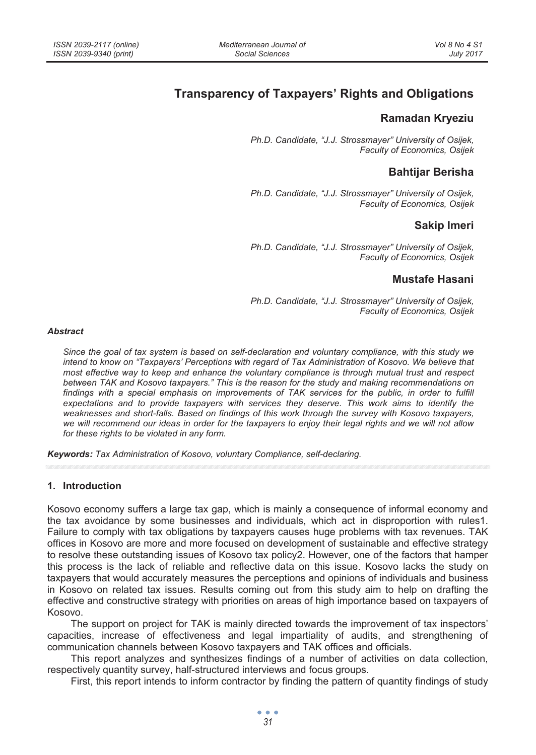# **Transparency of Taxpayers' Rights and Obligations**

### **Ramadan Kryeziu**

*Ph.D. Candidate, "J.J. Strossmayer" University of Osijek, Faculty of Economics, Osijek* 

## **Bahtijar Berisha**

*Ph.D. Candidate, "J.J. Strossmayer" University of Osijek, Faculty of Economics, Osijek* 

### **Sakip Imeri**

*Ph.D. Candidate, "J.J. Strossmayer" University of Osijek, Faculty of Economics, Osijek* 

### **Mustafe Hasani**

*Ph.D. Candidate, "J.J. Strossmayer" University of Osijek, Faculty of Economics, Osijek* 

#### *Abstract*

*Since the goal of tax system is based on self-declaration and voluntary compliance, with this study we intend to know on "Taxpayers' Perceptions with regard of Tax Administration of Kosovo. We believe that most effective way to keep and enhance the voluntary compliance is through mutual trust and respect between TAK and Kosovo taxpayers." This is the reason for the study and making recommendations on*  findings with a special emphasis on improvements of TAK services for the public, in order to fulfill *expectations and to provide taxpayers with services they deserve. This work aims to identify the weaknesses and short-falls. Based on findings of this work through the survey with Kosovo taxpayers, we will recommend our ideas in order for the taxpayers to enjoy their legal rights and we will not allow for these rights to be violated in any form.* 

*Keywords: Tax Administration of Kosovo, voluntary Compliance, self-declaring.* 

#### **1. Introduction**

Kosovo economy suffers a large tax gap, which is mainly a consequence of informal economy and the tax avoidance by some businesses and individuals, which act in disproportion with rules1. Failure to comply with tax obligations by taxpayers causes huge problems with tax revenues. TAK offices in Kosovo are more and more focused on development of sustainable and effective strategy to resolve these outstanding issues of Kosovo tax policy2. However, one of the factors that hamper this process is the lack of reliable and reflective data on this issue. Kosovo lacks the study on taxpayers that would accurately measures the perceptions and opinions of individuals and business in Kosovo on related tax issues. Results coming out from this study aim to help on drafting the effective and constructive strategy with priorities on areas of high importance based on taxpayers of Kosovo.

The support on project for TAK is mainly directed towards the improvement of tax inspectors' capacities, increase of effectiveness and legal impartiality of audits, and strengthening of communication channels between Kosovo taxpayers and TAK offices and officials.

This report analyzes and synthesizes findings of a number of activities on data collection, respectively quantity survey, half-structured interviews and focus groups.

First, this report intends to inform contractor by finding the pattern of quantity findings of study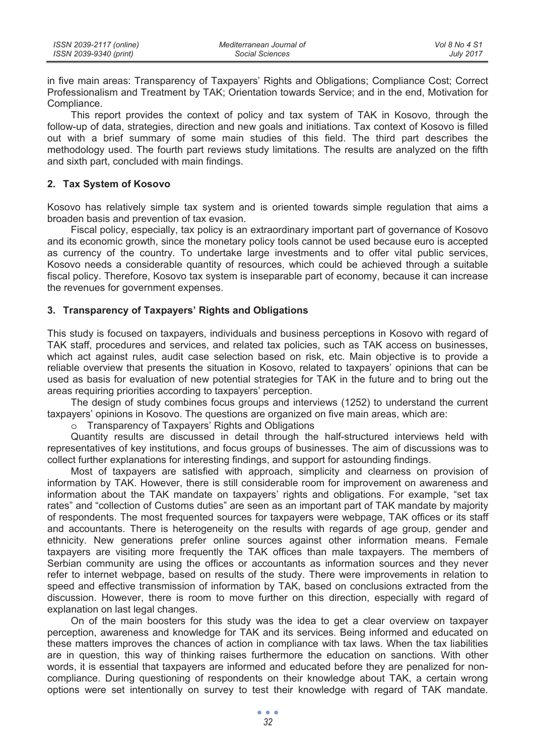| ISSN 2039-2117 (online) | Mediterranean Journal of | Vol 8 No 4 S1    |
|-------------------------|--------------------------|------------------|
| ISSN 2039-9340 (print)  | Social Sciences          | <b>July 2017</b> |

in five main areas: Transparency of Taxpayers' Rights and Obligations; Compliance Cost; Correct Professionalism and Treatment by TAK; Orientation towards Service; and in the end, Motivation for Compliance.

This report provides the context of policy and tax system of TAK in Kosovo, through the follow-up of data, strategies, direction and new goals and initiations. Tax context of Kosovo is filled out with a brief summary of some main studies of this field. The third part describes the methodology used. The fourth part reviews study limitations. The results are analyzed on the fifth and sixth part, concluded with main findings.

#### **2. Tax System of Kosovo**

Kosovo has relatively simple tax system and is oriented towards simple regulation that aims a broaden basis and prevention of tax evasion.

Fiscal policy, especially, tax policy is an extraordinary important part of governance of Kosovo and its economic growth, since the monetary policy tools cannot be used because euro is accepted as currency of the country. To undertake large investments and to offer vital public services, Kosovo needs a considerable quantity of resources, which could be achieved through a suitable fiscal policy. Therefore, Kosovo tax system is inseparable part of economy, because it can increase the revenues for government expenses.

#### **3. Transparency of Taxpayers' Rights and Obligations**

This study is focused on taxpayers, individuals and business perceptions in Kosovo with regard of TAK staff, procedures and services, and related tax policies, such as TAK access on businesses, which act against rules, audit case selection based on risk, etc. Main objective is to provide a reliable overview that presents the situation in Kosovo, related to taxpayers' opinions that can be used as basis for evaluation of new potential strategies for TAK in the future and to bring out the areas requiring priorities according to taxpayers' perception.

The design of study combines focus groups and interviews (1252) to understand the current taxpayers' opinions in Kosovo. The questions are organized on five main areas, which are:

o Transparency of Taxpayers' Rights and Obligations

Quantity results are discussed in detail through the half-structured interviews held with representatives of key institutions, and focus groups of businesses. The aim of discussions was to collect further explanations for interesting findings, and support for astounding findings.

Most of taxpayers are satisfied with approach, simplicity and clearness on provision of information by TAK. However, there is still considerable room for improvement on awareness and information about the TAK mandate on taxpayers' rights and obligations. For example, "set tax rates" and "collection of Customs duties" are seen as an important part of TAK mandate by majority of respondents. The most frequented sources for taxpayers were webpage, TAK offices or its staff and accountants. There is heterogeneity on the results with regards of age group, gender and ethnicity. New generations prefer online sources against other information means. Female taxpayers are visiting more frequently the TAK offices than male taxpayers. The members of Serbian community are using the offices or accountants as information sources and they never refer to internet webpage, based on results of the study. There were improvements in relation to speed and effective transmission of information by TAK, based on conclusions extracted from the discussion. However, there is room to move further on this direction, especially with regard of explanation on last legal changes.

On of the main boosters for this study was the idea to get a clear overview on taxpayer perception, awareness and knowledge for TAK and its services. Being informed and educated on these matters improves the chances of action in compliance with tax laws. When the tax liabilities are in question, this way of thinking raises furthermore the education on sanctions. With other words, it is essential that taxpayers are informed and educated before they are penalized for noncompliance. During questioning of respondents on their knowledge about TAK, a certain wrong options were set intentionally on survey to test their knowledge with regard of TAK mandate.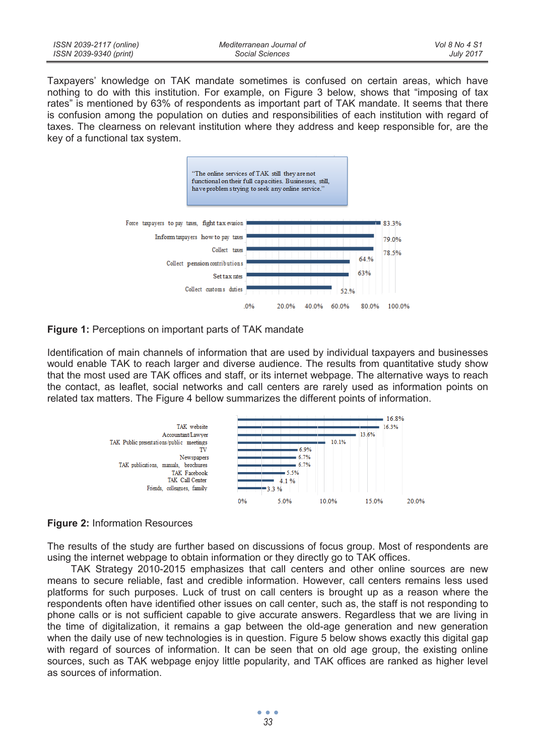| ISSN 2039-2117 (online) | Mediterranean Journal of | Vol 8 No 4 S1    |
|-------------------------|--------------------------|------------------|
| ISSN 2039-9340 (print)  | Social Sciences          | <b>July 2017</b> |

Taxpayers' knowledge on TAK mandate sometimes is confused on certain areas, which have nothing to do with this institution. For example, on Figure 3 below, shows that "imposing of tax rates" is mentioned by 63% of respondents as important part of TAK mandate. It seems that there is confusion among the population on duties and responsibilities of each institution with regard of taxes. The clearness on relevant institution where they address and keep responsible for, are the key of a functional tax system.





Identification of main channels of information that are used by individual taxpayers and businesses would enable TAK to reach larger and diverse audience. The results from quantitative study show that the most used are TAK offices and staff, or its internet webpage. The alternative ways to reach the contact, as leaflet, social networks and call centers are rarely used as information points on related tax matters. The Figure 4 bellow summarizes the different points of information.



#### **Figure 2:** Information Resources

The results of the study are further based on discussions of focus group. Most of respondents are using the internet webpage to obtain information or they directly go to TAK offices.

TAK Strategy 2010-2015 emphasizes that call centers and other online sources are new means to secure reliable, fast and credible information. However, call centers remains less used platforms for such purposes. Luck of trust on call centers is brought up as a reason where the respondents often have identified other issues on call center, such as, the staff is not responding to phone calls or is not sufficient capable to give accurate answers. Regardless that we are living in the time of digitalization, it remains a gap between the old-age generation and new generation when the daily use of new technologies is in question. Figure 5 below shows exactly this digital gap with regard of sources of information. It can be seen that on old age group, the existing online sources, such as TAK webpage enjoy little popularity, and TAK offices are ranked as higher level as sources of information.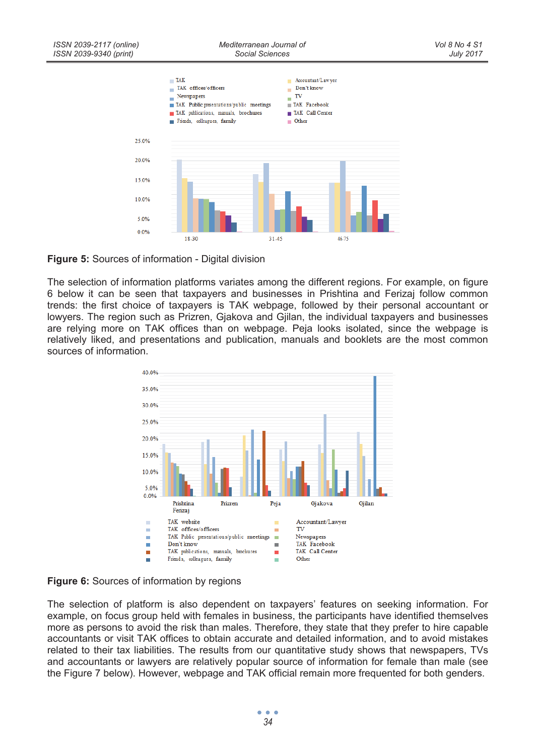

**Figure 5:** Sources of information - Digital division

The selection of information platforms variates among the different regions. For example, on figure 6 below it can be seen that taxpayers and businesses in Prishtina and Ferizaj follow common trends: the first choice of taxpayers is TAK webpage, followed by their personal accountant or lowyers. The region such as Prizren, Gjakova and Gjilan, the individual taxpayers and businesses are relying more on TAK offices than on webpage. Peja looks isolated, since the webpage is relatively liked, and presentations and publication, manuals and booklets are the most common sources of information.





The selection of platform is also dependent on taxpayers' features on seeking information. For example, on focus group held with females in business, the participants have identified themselves more as persons to avoid the risk than males. Therefore, they state that they prefer to hire capable accountants or visit TAK offices to obtain accurate and detailed information, and to avoid mistakes related to their tax liabilities. The results from our quantitative study shows that newspapers, TVs and accountants or lawyers are relatively popular source of information for female than male (see the Figure 7 below). However, webpage and TAK official remain more frequented for both genders.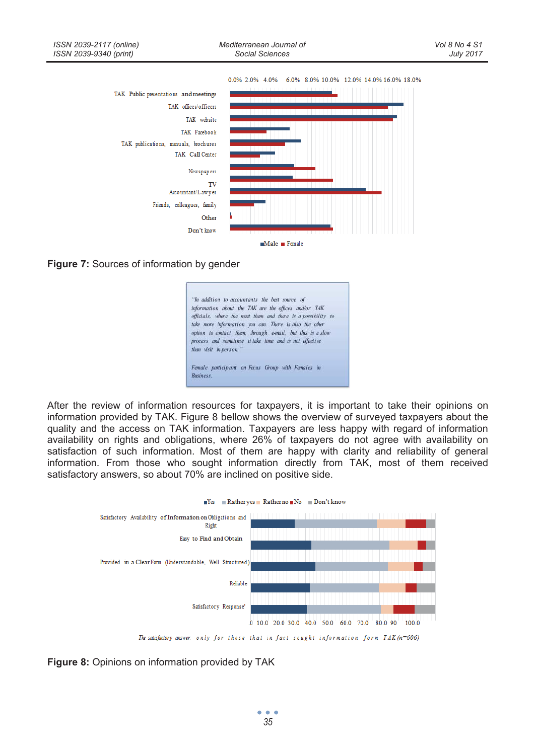

**Figure 7:** Sources of information by gender



After the review of information resources for taxpayers, it is important to take their opinions on information provided by TAK. Figure 8 bellow shows the overview of surveyed taxpayers about the quality and the access on TAK information. Taxpayers are less happy with regard of information availability on rights and obligations, where 26% of taxpayers do not agree with availability on satisfaction of such information. Most of them are happy with clarity and reliability of general information. From those who sought information directly from TAK, most of them received satisfactory answers, so about 70% are inclined on positive side.



**Figure 8:** Opinions on information provided by TAK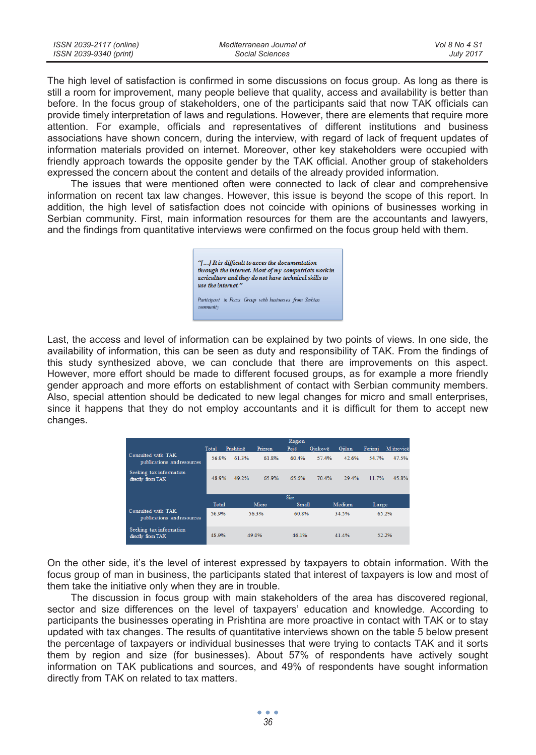The high level of satisfaction is confirmed in some discussions on focus group. As long as there is still a room for improvement, many people believe that quality, access and availability is better than before. In the focus group of stakeholders, one of the participants said that now TAK officials can provide timely interpretation of laws and regulations. However, there are elements that require more attention. For example, officials and representatives of different institutions and business associations have shown concern, during the interview, with regard of lack of frequent updates of information materials provided on internet. Moreover, other key stakeholders were occupied with friendly approach towards the opposite gender by the TAK official. Another group of stakeholders expressed the concern about the content and details of the already provided information.

The issues that were mentioned often were connected to lack of clear and comprehensive information on recent tax law changes. However, this issue is beyond the scope of this report. In addition, the high level of satisfaction does not coincide with opinions of businesses working in Serbian community. First, main information resources for them are the accountants and lawyers, and the findings from quantitative interviews were confirmed on the focus group held with them.

> "[...] It is difficult to acces the documentation through the internet. Most of my compatriots work in acriculture and they do not have technical skills to use the internet." Participant in Focus Group with businesses from Serbian community

Last, the access and level of information can be explained by two points of views. In one side, the availability of information, this can be seen as duty and responsibility of TAK. From the findings of this study synthesized above, we can conclude that there are improvements on this aspect. However, more effort should be made to different focused groups, as for example a more friendly gender approach and more efforts on establishment of contact with Serbian community members. Also, special attention should be dedicated to new legal changes for micro and small enterprises, since it happens that they do not employ accountants and it is difficult for them to accept new changes.

|                                                  | Total | Prishtinë | Prizren | Region<br>Pejë | Gjakovë | Giilan | Ferizai | M itrovicë |
|--------------------------------------------------|-------|-----------|---------|----------------|---------|--------|---------|------------|
| Consulted with TAK<br>publications and resources | 56.9% | 613%      | 61.8%   | 60.4%          | 57.4%   | 42.6%  | 54 7%   | 47.5%      |
| Seeking tax information<br>directly from TAK     | 48 9% | 49 2%     | 65.9%   | 65.6%          | 70 4%   | 29 4%  | 11.7%   | 45.8%      |
|                                                  |       |           |         | Size           |         |        |         |            |
|                                                  | Total |           | Micro   | Small          |         | Medium | Large   |            |
| Consulted with TAK<br>publications and resources | 56.9% |           | 56.3%   | 60.8%          |         | 34.5%  |         | 65.2%      |
| Seeking tax information<br>directly from TAK     | 48 9% |           | 49.0%   | 46 1%          |         | 41 4%  |         | 52.2%      |

On the other side, it's the level of interest expressed by taxpayers to obtain information. With the focus group of man in business, the participants stated that interest of taxpayers is low and most of them take the initiative only when they are in trouble.

The discussion in focus group with main stakeholders of the area has discovered regional, sector and size differences on the level of taxpayers' education and knowledge. According to participants the businesses operating in Prishtina are more proactive in contact with TAK or to stay updated with tax changes. The results of quantitative interviews shown on the table 5 below present the percentage of taxpayers or individual businesses that were trying to contacts TAK and it sorts them by region and size (for businesses). About 57% of respondents have actively sought information on TAK publications and sources, and 49% of respondents have sought information directly from TAK on related to tax matters.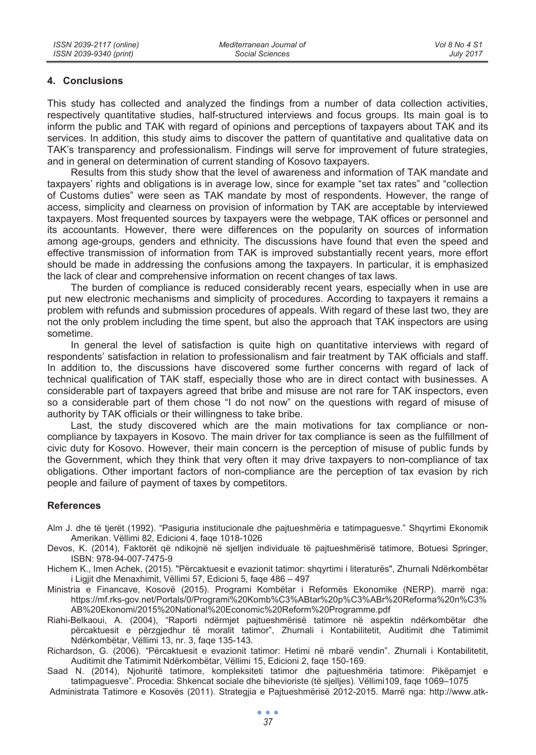#### **4. Conclusions**

This study has collected and analyzed the findings from a number of data collection activities, respectively quantitative studies, half-structured interviews and focus groups. Its main goal is to inform the public and TAK with regard of opinions and perceptions of taxpayers about TAK and its services. In addition, this study aims to discover the pattern of quantitative and qualitative data on TAK's transparency and professionalism. Findings will serve for improvement of future strategies, and in general on determination of current standing of Kosovo taxpayers.

Results from this study show that the level of awareness and information of TAK mandate and taxpayers' rights and obligations is in average low, since for example "set tax rates" and "collection of Customs duties" were seen as TAK mandate by most of respondents. However, the range of access, simplicity and clearness on provision of information by TAK are acceptable by interviewed taxpayers. Most frequented sources by taxpayers were the webpage, TAK offices or personnel and its accountants. However, there were differences on the popularity on sources of information among age-groups, genders and ethnicity. The discussions have found that even the speed and effective transmission of information from TAK is improved substantially recent years, more effort should be made in addressing the confusions among the taxpayers. In particular, it is emphasized the lack of clear and comprehensive information on recent changes of tax laws.

The burden of compliance is reduced considerably recent years, especially when in use are put new electronic mechanisms and simplicity of procedures. According to taxpayers it remains a problem with refunds and submission procedures of appeals. With regard of these last two, they are not the only problem including the time spent, but also the approach that TAK inspectors are using sometime.

In general the level of satisfaction is quite high on quantitative interviews with regard of respondents' satisfaction in relation to professionalism and fair treatment by TAK officials and staff. In addition to, the discussions have discovered some further concerns with regard of lack of technical qualification of TAK staff, especially those who are in direct contact with businesses. A considerable part of taxpayers agreed that bribe and misuse are not rare for TAK inspectors, even so a considerable part of them chose "I do not now" on the questions with regard of misuse of authority by TAK officials or their willingness to take bribe.

Last, the study discovered which are the main motivations for tax compliance or noncompliance by taxpayers in Kosovo. The main driver for tax compliance is seen as the fulfillment of civic duty for Kosovo. However, their main concern is the perception of misuse of public funds by the Government, which they think that very often it may drive taxpayers to non-compliance of tax obligations. Other important factors of non-compliance are the perception of tax evasion by rich people and failure of payment of taxes by competitors.

#### **References**

- Alm J. dhe të tjerët (1992). "Pasiguria institucionale dhe pajtueshmëria e tatimpaguesve." Shqyrtimi Ekonomik Amerikan. Vëllimi 82, Edicioni 4, faqe 1018-1026
- Devos, K. (2014), Faktorët që ndikojnë në sjelljen individuale të pajtueshmërisë tatimore, Botuesi Springer, ISBN: 978-94-007-7475-9
- Hichem K., Imen Achek, (2015). "Përcaktuesit e evazionit tatimor: shqyrtimi i literaturës", Zhurnali Ndërkombëtar i Ligjit dhe Menaxhimit, Vëllimi 57, Edicioni 5, faqe 486 – 497
- Ministria e Financave, Kosovë (2015). Programi Kombëtar i Reformës Ekonomike (NERP). marrë nga: https://mf.rks-gov.net/Portals/0/Programi%20Komb%C3%ABtar%20p%C3%ABr%20Reforma%20n%C3% AB%20Ekonomi/2015%20National%20Economic%20Reform%20Programme.pdf
- Riahi-Belkaoui, A. (2004), "Raporti ndërmjet pajtueshmërisë tatimore në aspektin ndërkombëtar dhe përcaktuesit e përzgjedhur të moralit tatimor", Zhurnali i Kontabilitetit, Auditimit dhe Tatimimit Ndërkombëtar, Vëllimi 13, nr. 3, faqe 135-143.
- Richardson, G. (2006). "Përcaktuesit e evazionit tatimor: Hetimi në mbarë vendin". Zhurnali i Kontabilitetit, Auditimit dhe Tatimimit Ndërkombëtar, Vëllimi 15, Edicioni 2, faqe 150-169.
- Saad N. (2014), Njohuritë tatimore, kompleksiteti tatimor dhe pajtueshmëria tatimore: Pikëpamjet e tatimpaguesve". Procedia: Shkencat sociale dhe bihevioriste (të sjelljes). Vëllimi109, faqe 1069–1075
- Administrata Tatimore e Kosovës (2011). Strategjia e Pajtueshmërisë 2012-2015. Marrë nga: http://www.atk-